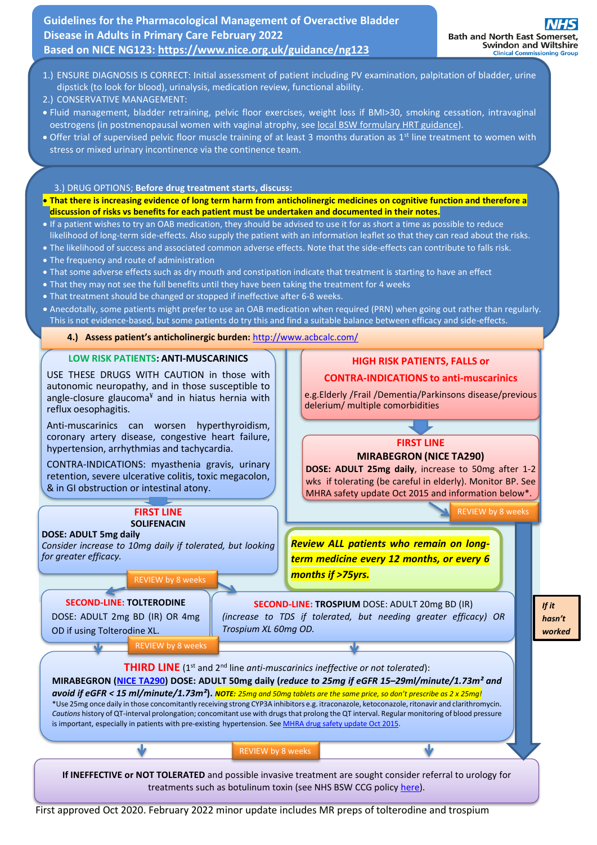**Guidelines for the Pharmacological Management of Overactive Bladder Disease in Adults in Primary Care February 2022 Based on NICE NG123:<https://www.nice.org.uk/guidance/ng123>**

- 1.) ENSURE DIAGNOSIS IS CORRECT: Initial assessment of patient including PV examination, palpitation of bladder, urine dipstick (to look for blood), urinalysis, medication review, functional ability.
- 2.) CONSERVATIVE MANAGEMENT:
- Fluid management, bladder retraining, pelvic floor exercises, weight loss if BMI>30, smoking cessation, intravaginal oestrogens (in postmenopausal women with vaginal atrophy, see [local BSW formulary HRT guidance\)](https://prescribing.wiltshireccg.nhs.uk/?wpdmdl=6525).
- Offer trial of supervised pelvic floor muscle training of at least 3 months duration as 1<sup>st</sup> line treatment to women with stress or mixed urinary incontinence via the continence team.

3.) DRUG OPTIONS; **Before drug treatment starts, discuss:**

- **That there is increasing evidence of long term harm from anticholinergic medicines on cognitive function and therefore a discussion of risks vs benefits for each patient must be undertaken and documented in their notes.**
- If a patient wishes to try an OAB medication, they should be advised to use it for as short a time as possible to reduce likelihood of long-term side-effects. Also supply the patient with an information leaflet so that they can read about the risks.
- The likelihood of success and associated common adverse effects. Note that the side-effects can contribute to falls risk.
- The frequency and route of administration
- That some adverse effects such as dry mouth and constipation indicate that treatment is starting to have an effect
- That they may not see the full benefits until they have been taking the treatment for 4 weeks
- That treatment should be changed or stopped if ineffective after 6-8 weeks.
- Anecdotally, some patients might prefer to use an OAB medication when required (PRN) when going out rather than regularly. This is not evidence-based, but some patients do try this and find a suitable balance between efficacy and side-effects.

**4.) Assess patient's anticholinergic burden:** <http://www.acbcalc.com/>

#### **LOW RISK PATIENTS: ANTI-MUSCARINICS**

USE THESE DRUGS WITH CAUTION in those with autonomic neuropathy, and in those susceptible to angle-closure glaucoma $*$  and in hiatus hernia with reflux oesophagitis.

Anti-muscarinics can worsen hyperthyroidism, coronary artery disease, congestive heart failure, hypertension, arrhythmias and tachycardia.

CONTRA-INDICATIONS: myasthenia gravis, urinary retention, severe ulcerative colitis, toxic megacolon, & in GI obstruction or intestinal atony.

# **FIRST LINE SOLIFENACIN**

#### **DOSE: ADULT 5mg daily**

*Consider increase to 10mg daily if tolerated, but looking for greater efficacy.*

## REVIEW by 8 weeks

#### **SECOND-LINE: TOLTERODINE**

DOSE: ADULT 2mg BD (IR) OR 4mg OD if using Tolterodine XL.

**SECOND-LINE: TROSPIUM** DOSE: ADULT 20mg BD (IR) *(increase to TDS if tolerated, but needing greater efficacy) OR Trospium XL 60mg OD.*

*months if >75yrs.*

*Review ALL patients who remain on longterm medicine every 12 months, or every 6* 

delerium/ multiple comorbidities

**HIGH RISK PATIENTS, FALLS or CONTRA-INDICATIONS to anti-muscarinics** e.g.Elderly /Frail /Dementia/Parkinsons disease/previous

**FIRST LINE [MIRABEGRON \(NICE TA290\)](https://www.nice.org.uk/guidance/ta290) DOSE: ADULT 25mg daily**, increase to 50mg after 1-2 wks if tolerating (be careful in elderly). Monitor BP. See MHRA safety update Oct 2015 and information below\*.

REVIEW by 8 weeks

*If it hasn't worked*

REVIEW by 8 weeks



BSW CCG Medicines Optimisation [bswccg.prescribing@nhs.net](mailto:bswccg.prescribing@nhs.net) First approved Oct 2020. February 2022 minor update includes MR preps of tolterodine and trospium